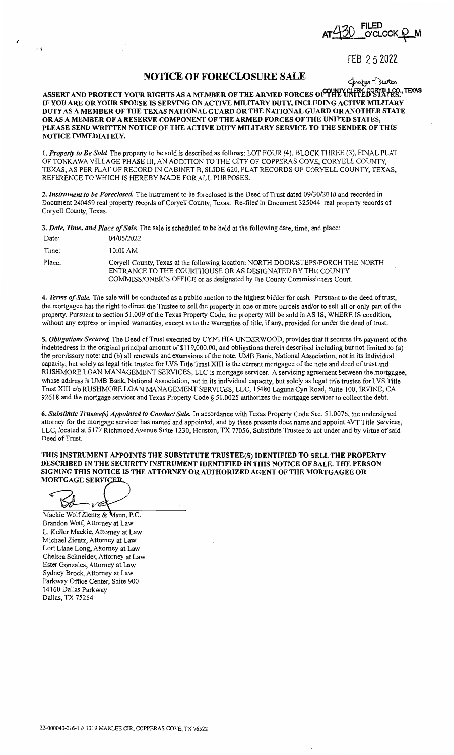$O$ <sup>CLOCK</sup> $\Omega$ 

FEB 2 5 2022

## **NOTICE OF FORECLOSURE SALE**<br>COUNTY OF FRICIAL COPYFULSO TEXAS

**ASSERT AND PROTECT YOUR RIGHTS AS A MEMBER OF THE ARMED FORCES OF THE UNITED STATES. IF YOU ARE OR YOUR SPOUSE IS SERVING ON ACTIVE MILITARY DUTY, INCLUDING ACTIVE MILITARY DUTY AS A MEMBER OF THE TEXAS NATIONAL GUARD OR THE NATIONAL GUARD OR ANOTHER STATE OR AS A MEMBER OF A RESERVE COMPONENT OF THE ARMED FORCES OF THE UNITED STATES, PLEASE SEND WRITTEN NOTICE OF THE ACTIVE DUTY MILITARY SERVICE TO THE SENDER OF THIS NOTICE IMMEDIATELY.** 

**l.** *Property to Be Sold.* The property to be sold is described as follows: LOT FOUR (4), BLOCK THREE (3), FINAL PLAT OF TONKAWA VILLAGE PHASE III, AN ADDITION TO THE CITY OF COPPERAS COVE, CORYELL COUNTY, TEXAS, AS PER PLAT OF RECORD IN CABINET B, SLIDE 620, PLAT RECORDS OF CORYELL COUNTY, TEXAS, REFERENCE TO WHICH IS HEREBY MADE FOR ALL PURPOSES.

2. *Instrument to be Foreclosed.* The instrument to be foreclosed is the Deed of Trust dated 09/30/20 IO and recorded in Document 240459 real property records of Coryell County, Texas. Re-filed in Document 325044 real property records of Coryell County, Texas.

3. *Date, Time, and Place of Sale.* The sale is scheduled to be held at the following date, time, and place:

| Date:  | 04/05/2022                                                                                                                                                                                                                  |
|--------|-----------------------------------------------------------------------------------------------------------------------------------------------------------------------------------------------------------------------------|
| Time:  | $10:00$ AM                                                                                                                                                                                                                  |
| Place: | Coryell County, Texas at the following location: NORTH DOOR/STEPS/PORCH THE NORTH<br>ENTRANCE TO THE COURTHOUSE OR AS DESIGNATED BY THE COUNTY<br>COMMISSIONER'S OFFICE or as designated by the County Commissioners Court. |

4. *Terms of Sale.* The sale will be conducted as a public auction to the highest bidder for cash. Pursuant to the deed of trust, the mortgagee has the right to direct the Trustee to sell the property in one or more parcels and/or to sell all or only part of the property. Pursuant to section 51.009 of the Texas Property Code, the property will be sold in AS IS, WHERE JS condition, without any express or implied warranties, except as to the warranties of title, if any, provided for under the deed of trust.

5. *Obligations Secured.* The Deed of Trust executed by CYNTHIA UNDERWOOD, provides that it secures the payment of the indebtedness in the original principal amount of \$119,000.00, and obligations therein described including but not limited to (a) the promissory note; and (b) all renewals and extensions of the note. UMB Bank, National Association, not in its individual capacity, but solely as legal title trustee for LVS Title Trust XIII is the current mortgagee of the note and deed of trust and RUSHMORE LOAN MANAGEMENT SERVICES, LLC is mortgage servicer. A servicing agreement between the mortgagee, whose address is UMB Bank, National Association, not in its individual capacity, but solely as legal title trustee for LVS Title Trust XIII c/o RUSHMORE LOAN MANAGEMENT SERVICES, LLC, 15480 Laguna Cyn Road, Suite 100, IRVINE, CA 92618 and the mortgage servicer and Texas Property Code § 51.0025 authorizes the mortgage servicer to collect the debt.

6. Substitute Trustee(s) Appointed to Conduct Sale. In accordance with Texas Property Code Sec. 51.0076, the undersigned attorney for the mortgage servicer has named and appointed, and by these presents does name and appoint AVT Title Services, LLC, located at 5177 Richmond Avenue Suite 1230, Houston, TX 77056, Substitute Trustee to act under and by virtue of said Deed of Trust.

**THIS INSTRUMENT APPOINTS THE SUBSTITUTE TRUSTEE(S) IDENTIFIED TO SELL THE PROPERTY DESCRIBED IN THE SECURITY INSTRUMENT IDENTIFIED IN THIS NOTICE OF SALE. THE PERSON SIGNING THIS NOTICE IS THE ATTORNEY OR AUTHORIZED AGENT OF THE MORTGAGEE OR MORTGAGE SERVICER.** 

๔  $\mathbb{S}d$  $\checkmark$ 

ة با

Mackie Wolf Zientz & Mann, P.C. Brandon Wolf, Attorney at Law L. Keller Mackie, Attorney at Law Michael Zientz, Attorney at Law Lori Liane Long, Attorney at Law Chelsea Schneider, Attorney at Law Ester Gonzales, Attorney at Law Sydney Brock, Attorney at Law Parkway Office Center, Suite 900 14160 Dallas Parkway Dallas, TX 75254